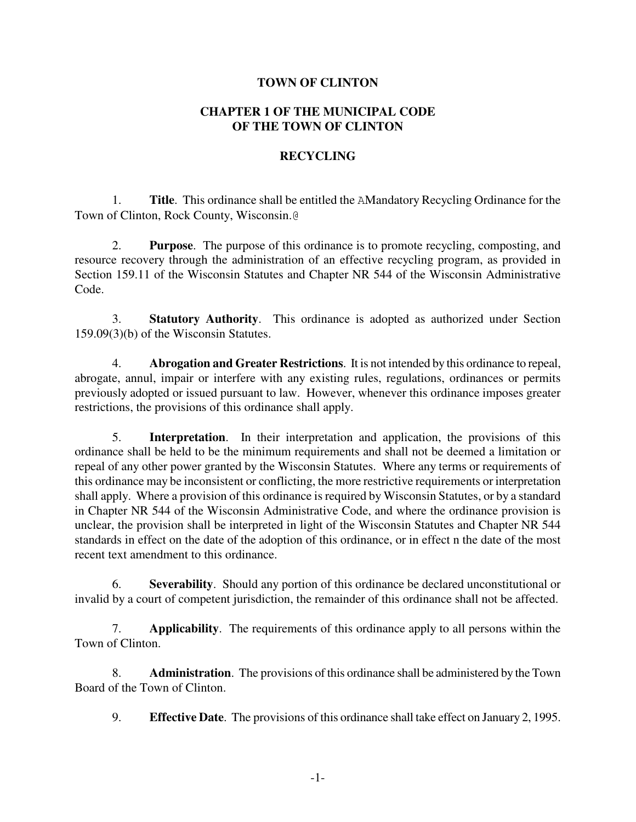### **TOWN OF CLINTON**

### **CHAPTER 1 OF THE MUNICIPAL CODE OF THE TOWN OF CLINTON**

#### **RECYCLING**

1. **Title**. This ordinance shall be entitled the AMandatory Recycling Ordinance for the Town of Clinton, Rock County, Wisconsin.@

2. **Purpose**. The purpose of this ordinance is to promote recycling, composting, and resource recovery through the administration of an effective recycling program, as provided in Section 159.11 of the Wisconsin Statutes and Chapter NR 544 of the Wisconsin Administrative Code.

3. **Statutory Authority**. This ordinance is adopted as authorized under Section 159.09(3)(b) of the Wisconsin Statutes.

4. **Abrogation and Greater Restrictions**. It is not intended by this ordinance to repeal, abrogate, annul, impair or interfere with any existing rules, regulations, ordinances or permits previously adopted or issued pursuant to law. However, whenever this ordinance imposes greater restrictions, the provisions of this ordinance shall apply.

5. **Interpretation**. In their interpretation and application, the provisions of this ordinance shall be held to be the minimum requirements and shall not be deemed a limitation or repeal of any other power granted by the Wisconsin Statutes. Where any terms or requirements of this ordinance may be inconsistent or conflicting, the more restrictive requirements or interpretation shall apply. Where a provision of this ordinance is required by Wisconsin Statutes, or by a standard in Chapter NR 544 of the Wisconsin Administrative Code, and where the ordinance provision is unclear, the provision shall be interpreted in light of the Wisconsin Statutes and Chapter NR 544 standards in effect on the date of the adoption of this ordinance, or in effect n the date of the most recent text amendment to this ordinance.

6. **Severability**. Should any portion of this ordinance be declared unconstitutional or invalid by a court of competent jurisdiction, the remainder of this ordinance shall not be affected.

7. **Applicability**. The requirements of this ordinance apply to all persons within the Town of Clinton.

8. **Administration**. The provisions of this ordinance shall be administered by the Town Board of the Town of Clinton.

9. **Effective Date**. The provisions of this ordinance shall take effect on January 2, 1995.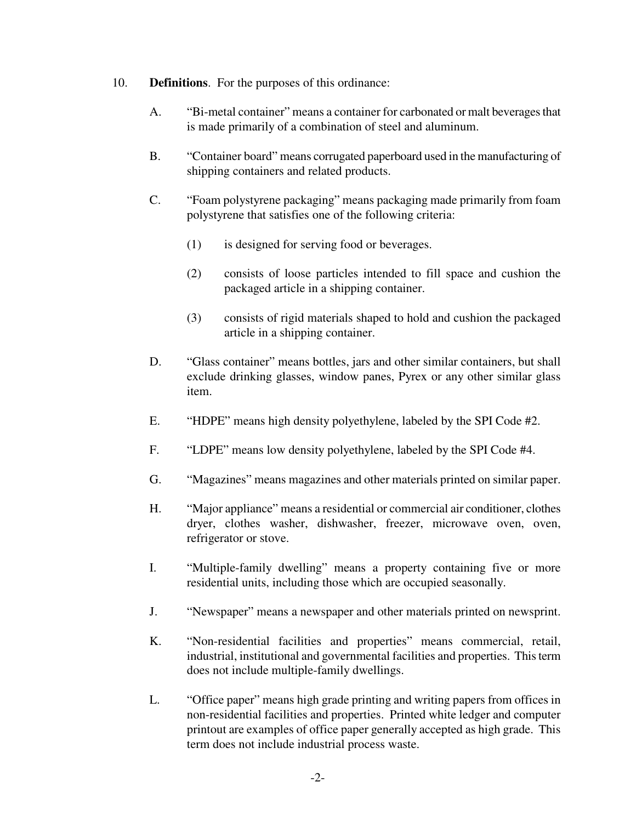- 10. **Definitions**. For the purposes of this ordinance:
	- A. "Bi-metal container" means a container for carbonated or malt beverages that is made primarily of a combination of steel and aluminum.
	- B. "Container board" means corrugated paperboard used in the manufacturing of shipping containers and related products.
	- C. "Foam polystyrene packaging" means packaging made primarily from foam polystyrene that satisfies one of the following criteria:
		- (1) is designed for serving food or beverages.
		- (2) consists of loose particles intended to fill space and cushion the packaged article in a shipping container.
		- (3) consists of rigid materials shaped to hold and cushion the packaged article in a shipping container.
	- D. "Glass container" means bottles, jars and other similar containers, but shall exclude drinking glasses, window panes, Pyrex or any other similar glass item.
	- E. "HDPE" means high density polyethylene, labeled by the SPI Code #2.
	- F. "LDPE" means low density polyethylene, labeled by the SPI Code #4.
	- G. "Magazines" means magazines and other materials printed on similar paper.
	- H. "Major appliance" means a residential or commercial air conditioner, clothes dryer, clothes washer, dishwasher, freezer, microwave oven, oven, refrigerator or stove.
	- I. "Multiple-family dwelling" means a property containing five or more residential units, including those which are occupied seasonally.
	- J. "Newspaper" means a newspaper and other materials printed on newsprint.
	- K. "Non-residential facilities and properties" means commercial, retail, industrial, institutional and governmental facilities and properties. This term does not include multiple-family dwellings.
	- L. "Office paper" means high grade printing and writing papers from offices in non-residential facilities and properties. Printed white ledger and computer printout are examples of office paper generally accepted as high grade. This term does not include industrial process waste.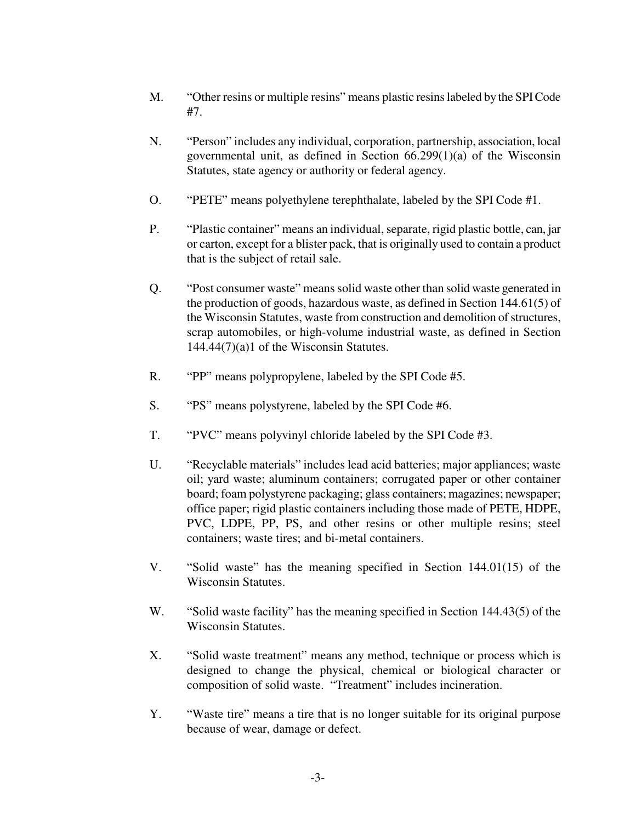- M. "Other resins or multiple resins" means plastic resins labeled by the SPI Code #7.
- N. "Person" includes any individual, corporation, partnership, association, local governmental unit, as defined in Section 66.299(1)(a) of the Wisconsin Statutes, state agency or authority or federal agency.
- O. "PETE" means polyethylene terephthalate, labeled by the SPI Code #1.
- P. "Plastic container" means an individual, separate, rigid plastic bottle, can, jar or carton, except for a blister pack, that is originally used to contain a product that is the subject of retail sale.
- Q. "Post consumer waste" means solid waste other than solid waste generated in the production of goods, hazardous waste, as defined in Section 144.61(5) of the Wisconsin Statutes, waste from construction and demolition of structures, scrap automobiles, or high-volume industrial waste, as defined in Section 144.44(7)(a)1 of the Wisconsin Statutes.
- R. "PP" means polypropylene, labeled by the SPI Code #5.
- S. "PS" means polystyrene, labeled by the SPI Code #6.
- T. "PVC" means polyvinyl chloride labeled by the SPI Code #3.
- U. "Recyclable materials" includes lead acid batteries; major appliances; waste oil; yard waste; aluminum containers; corrugated paper or other container board; foam polystyrene packaging; glass containers; magazines; newspaper; office paper; rigid plastic containers including those made of PETE, HDPE, PVC, LDPE, PP, PS, and other resins or other multiple resins; steel containers; waste tires; and bi-metal containers.
- V. "Solid waste" has the meaning specified in Section 144.01(15) of the Wisconsin Statutes.
- W. "Solid waste facility" has the meaning specified in Section 144.43(5) of the Wisconsin Statutes.
- X. "Solid waste treatment" means any method, technique or process which is designed to change the physical, chemical or biological character or composition of solid waste. "Treatment" includes incineration.
- Y. "Waste tire" means a tire that is no longer suitable for its original purpose because of wear, damage or defect.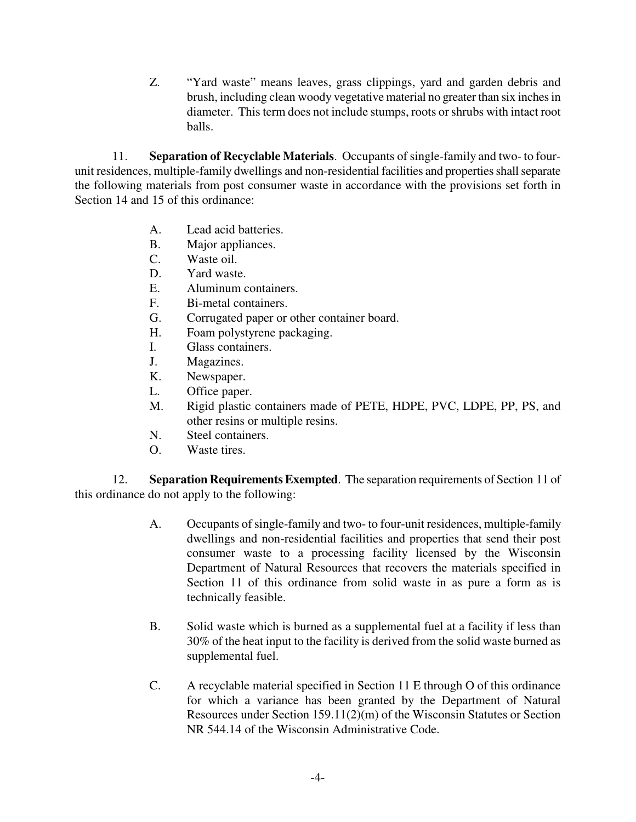Z. "Yard waste" means leaves, grass clippings, yard and garden debris and brush, including clean woody vegetative material no greater than six inches in diameter. This term does not include stumps, roots or shrubs with intact root balls.

11. **Separation of Recyclable Materials**. Occupants of single-family and two- to fourunit residences, multiple-family dwellings and non-residential facilities and properties shall separate the following materials from post consumer waste in accordance with the provisions set forth in Section 14 and 15 of this ordinance:

- A. Lead acid batteries.
- B. Major appliances.
- C. Waste oil.
- D. Yard waste.
- E. Aluminum containers.
- F. Bi-metal containers.
- G. Corrugated paper or other container board.
- H. Foam polystyrene packaging.
- I. Glass containers.
- J. Magazines.
- K. Newspaper.
- L. Office paper.
- M. Rigid plastic containers made of PETE, HDPE, PVC, LDPE, PP, PS, and other resins or multiple resins.
- N. Steel containers.
- O. Waste tires.

12. **Separation Requirements Exempted**. The separation requirements of Section 11 of this ordinance do not apply to the following:

- A. Occupants of single-family and two- to four-unit residences, multiple-family dwellings and non-residential facilities and properties that send their post consumer waste to a processing facility licensed by the Wisconsin Department of Natural Resources that recovers the materials specified in Section 11 of this ordinance from solid waste in as pure a form as is technically feasible.
- B. Solid waste which is burned as a supplemental fuel at a facility if less than 30% of the heat input to the facility is derived from the solid waste burned as supplemental fuel.
- C. A recyclable material specified in Section 11 E through O of this ordinance for which a variance has been granted by the Department of Natural Resources under Section 159.11(2)(m) of the Wisconsin Statutes or Section NR 544.14 of the Wisconsin Administrative Code.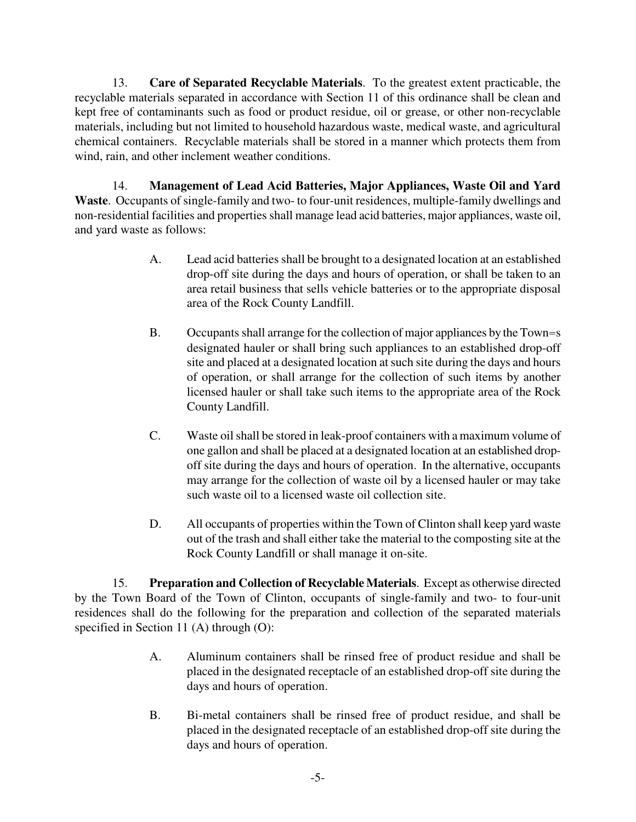13. **Care of Separated Recyclable Materials**. To the greatest extent practicable, the recyclable materials separated in accordance with Section 11 of this ordinance shall be clean and kept free of contaminants such as food or product residue, oil or grease, or other non-recyclable materials, including but not limited to household hazardous waste, medical waste, and agricultural chemical containers. Recyclable materials shall be stored in a manner which protects them from wind, rain, and other inclement weather conditions.

14. **Management of Lead Acid Batteries, Major Appliances, Waste Oil and Yard Waste**. Occupants of single-family and two- to four-unit residences, multiple-family dwellings and non-residential facilities and properties shall manage lead acid batteries, major appliances, waste oil, and yard waste as follows:

- A. Lead acid batteries shall be brought to a designated location at an established drop-off site during the days and hours of operation, or shall be taken to an area retail business that sells vehicle batteries or to the appropriate disposal area of the Rock County Landfill.
- B. Occupants shall arrange for the collection of major appliances by the Town=s designated hauler or shall bring such appliances to an established drop-off site and placed at a designated location at such site during the days and hours of operation, or shall arrange for the collection of such items by another licensed hauler or shall take such items to the appropriate area of the Rock County Landfill.
- C. Waste oil shall be stored in leak-proof containers with a maximum volume of one gallon and shall be placed at a designated location at an established dropoff site during the days and hours of operation. In the alternative, occupants may arrange for the collection of waste oil by a licensed hauler or may take such waste oil to a licensed waste oil collection site.
- D. All occupants of properties within the Town of Clinton shall keep yard waste out of the trash and shall either take the material to the composting site at the Rock County Landfill or shall manage it on-site.

15. **Preparation and Collection of Recyclable Materials**. Except as otherwise directed by the Town Board of the Town of Clinton, occupants of single-family and two- to four-unit residences shall do the following for the preparation and collection of the separated materials specified in Section 11 (A) through (O):

- A. Aluminum containers shall be rinsed free of product residue and shall be placed in the designated receptacle of an established drop-off site during the days and hours of operation.
- B. Bi-metal containers shall be rinsed free of product residue, and shall be placed in the designated receptacle of an established drop-off site during the days and hours of operation.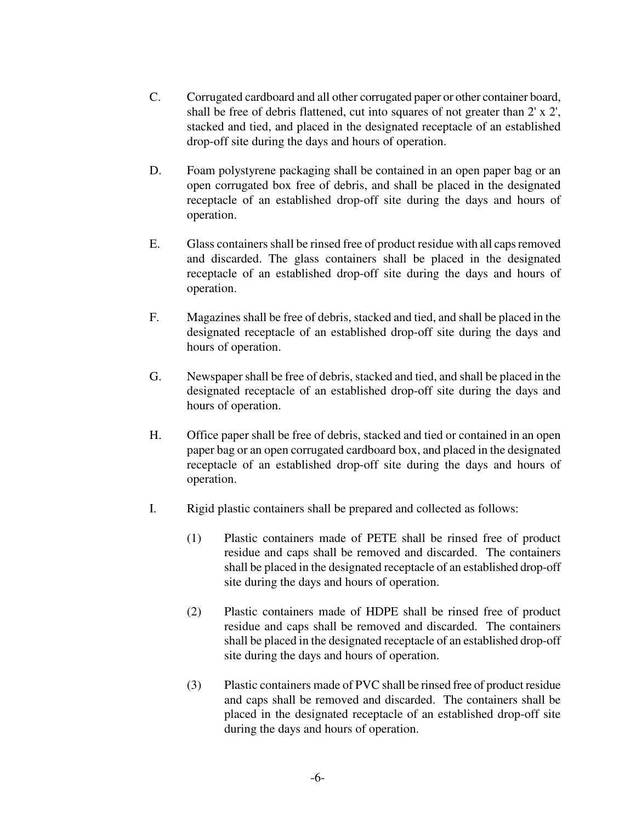- C. Corrugated cardboard and all other corrugated paper or other container board, shall be free of debris flattened, cut into squares of not greater than 2' x 2', stacked and tied, and placed in the designated receptacle of an established drop-off site during the days and hours of operation.
- D. Foam polystyrene packaging shall be contained in an open paper bag or an open corrugated box free of debris, and shall be placed in the designated receptacle of an established drop-off site during the days and hours of operation.
- E. Glass containers shall be rinsed free of product residue with all caps removed and discarded. The glass containers shall be placed in the designated receptacle of an established drop-off site during the days and hours of operation.
- F. Magazines shall be free of debris, stacked and tied, and shall be placed in the designated receptacle of an established drop-off site during the days and hours of operation.
- G. Newspaper shall be free of debris, stacked and tied, and shall be placed in the designated receptacle of an established drop-off site during the days and hours of operation.
- H. Office paper shall be free of debris, stacked and tied or contained in an open paper bag or an open corrugated cardboard box, and placed in the designated receptacle of an established drop-off site during the days and hours of operation.
- I. Rigid plastic containers shall be prepared and collected as follows:
	- (1) Plastic containers made of PETE shall be rinsed free of product residue and caps shall be removed and discarded. The containers shall be placed in the designated receptacle of an established drop-off site during the days and hours of operation.
	- (2) Plastic containers made of HDPE shall be rinsed free of product residue and caps shall be removed and discarded. The containers shall be placed in the designated receptacle of an established drop-off site during the days and hours of operation.
	- (3) Plastic containers made of PVC shall be rinsed free of product residue and caps shall be removed and discarded. The containers shall be placed in the designated receptacle of an established drop-off site during the days and hours of operation.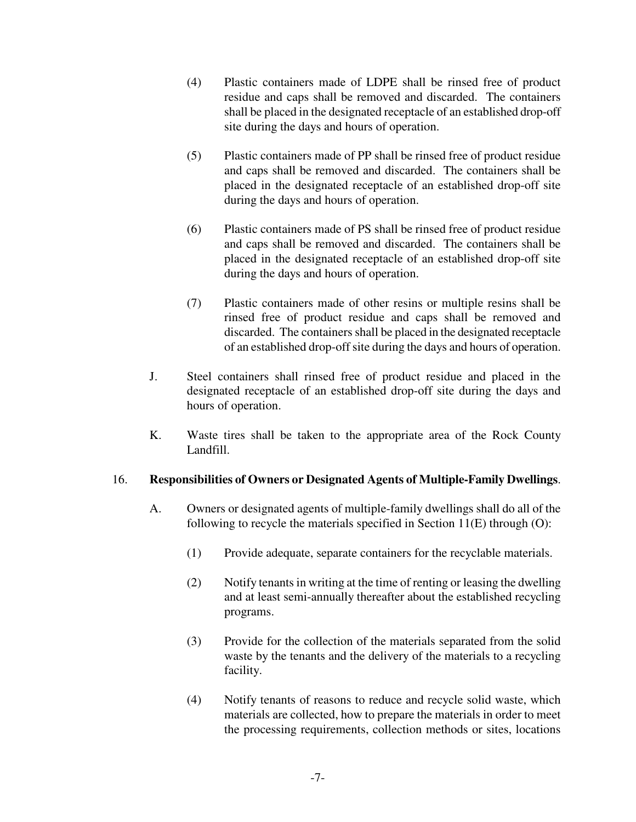- (4) Plastic containers made of LDPE shall be rinsed free of product residue and caps shall be removed and discarded. The containers shall be placed in the designated receptacle of an established drop-off site during the days and hours of operation.
- (5) Plastic containers made of PP shall be rinsed free of product residue and caps shall be removed and discarded. The containers shall be placed in the designated receptacle of an established drop-off site during the days and hours of operation.
- (6) Plastic containers made of PS shall be rinsed free of product residue and caps shall be removed and discarded. The containers shall be placed in the designated receptacle of an established drop-off site during the days and hours of operation.
- (7) Plastic containers made of other resins or multiple resins shall be rinsed free of product residue and caps shall be removed and discarded. The containers shall be placed in the designated receptacle of an established drop-off site during the days and hours of operation.
- J. Steel containers shall rinsed free of product residue and placed in the designated receptacle of an established drop-off site during the days and hours of operation.
- K. Waste tires shall be taken to the appropriate area of the Rock County Landfill.

## 16. **Responsibilities of Owners or Designated Agents of Multiple-Family Dwellings**.

- A. Owners or designated agents of multiple-family dwellings shall do all of the following to recycle the materials specified in Section 11(E) through (O):
	- (1) Provide adequate, separate containers for the recyclable materials.
	- (2) Notify tenants in writing at the time of renting or leasing the dwelling and at least semi-annually thereafter about the established recycling programs.
	- (3) Provide for the collection of the materials separated from the solid waste by the tenants and the delivery of the materials to a recycling facility.
	- (4) Notify tenants of reasons to reduce and recycle solid waste, which materials are collected, how to prepare the materials in order to meet the processing requirements, collection methods or sites, locations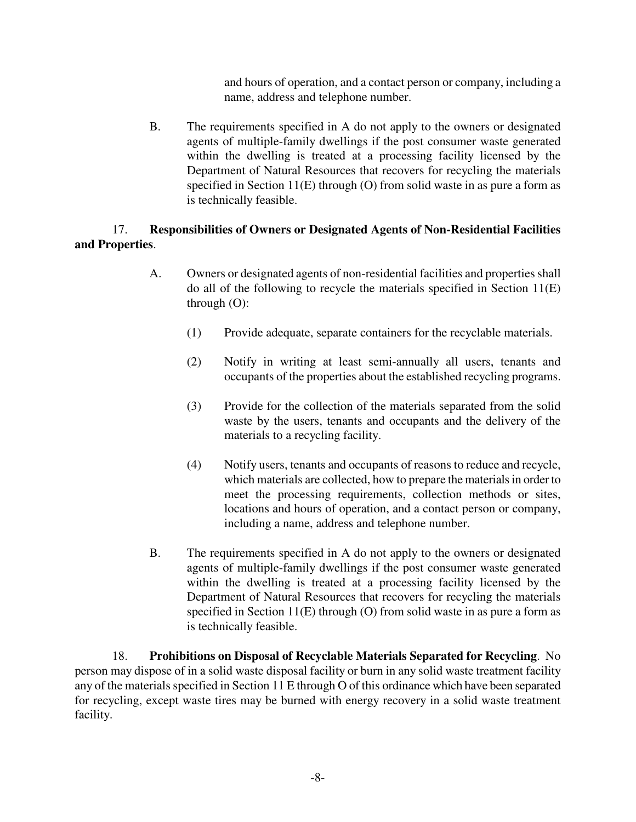and hours of operation, and a contact person or company, including a name, address and telephone number.

B. The requirements specified in A do not apply to the owners or designated agents of multiple-family dwellings if the post consumer waste generated within the dwelling is treated at a processing facility licensed by the Department of Natural Resources that recovers for recycling the materials specified in Section 11(E) through (O) from solid waste in as pure a form as is technically feasible.

# 17. **Responsibilities of Owners or Designated Agents of Non-Residential Facilities and Properties**.

- A. Owners or designated agents of non-residential facilities and properties shall do all of the following to recycle the materials specified in Section 11(E) through (O):
	- (1) Provide adequate, separate containers for the recyclable materials.
	- (2) Notify in writing at least semi-annually all users, tenants and occupants of the properties about the established recycling programs.
	- (3) Provide for the collection of the materials separated from the solid waste by the users, tenants and occupants and the delivery of the materials to a recycling facility.
	- (4) Notify users, tenants and occupants of reasons to reduce and recycle, which materials are collected, how to prepare the materials in order to meet the processing requirements, collection methods or sites, locations and hours of operation, and a contact person or company, including a name, address and telephone number.
- B. The requirements specified in A do not apply to the owners or designated agents of multiple-family dwellings if the post consumer waste generated within the dwelling is treated at a processing facility licensed by the Department of Natural Resources that recovers for recycling the materials specified in Section 11(E) through (O) from solid waste in as pure a form as is technically feasible.

18. **Prohibitions on Disposal of Recyclable Materials Separated for Recycling**. No person may dispose of in a solid waste disposal facility or burn in any solid waste treatment facility any of the materials specified in Section 11 E through O of this ordinance which have been separated for recycling, except waste tires may be burned with energy recovery in a solid waste treatment facility.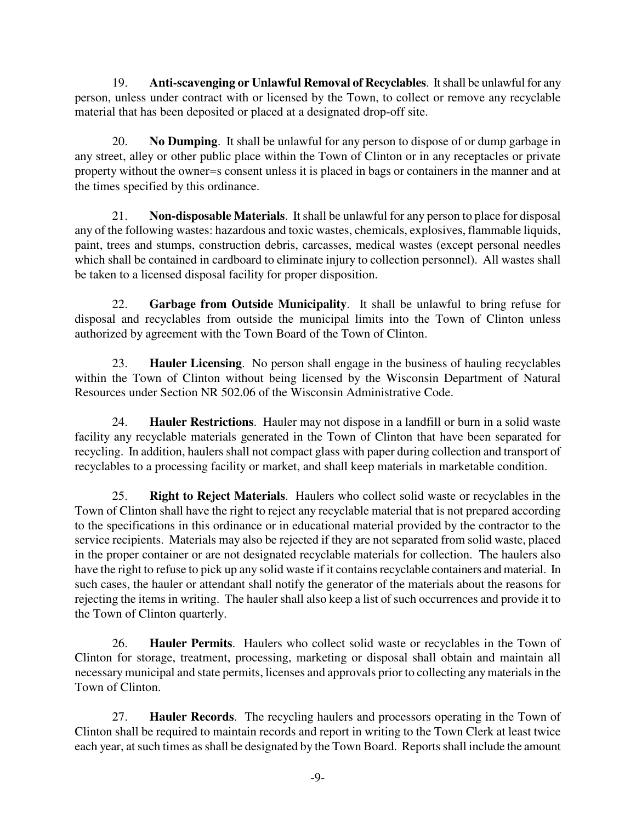19. **Anti-scavenging or Unlawful Removal of Recyclables**. It shall be unlawful for any person, unless under contract with or licensed by the Town, to collect or remove any recyclable material that has been deposited or placed at a designated drop-off site.

20. **No Dumping**. It shall be unlawful for any person to dispose of or dump garbage in any street, alley or other public place within the Town of Clinton or in any receptacles or private property without the owner=s consent unless it is placed in bags or containers in the manner and at the times specified by this ordinance.

21. **Non-disposable Materials**. It shall be unlawful for any person to place for disposal any of the following wastes: hazardous and toxic wastes, chemicals, explosives, flammable liquids, paint, trees and stumps, construction debris, carcasses, medical wastes (except personal needles which shall be contained in cardboard to eliminate injury to collection personnel). All wastes shall be taken to a licensed disposal facility for proper disposition.

22. **Garbage from Outside Municipality**. It shall be unlawful to bring refuse for disposal and recyclables from outside the municipal limits into the Town of Clinton unless authorized by agreement with the Town Board of the Town of Clinton.

23. **Hauler Licensing**. No person shall engage in the business of hauling recyclables within the Town of Clinton without being licensed by the Wisconsin Department of Natural Resources under Section NR 502.06 of the Wisconsin Administrative Code.

24. **Hauler Restrictions**. Hauler may not dispose in a landfill or burn in a solid waste facility any recyclable materials generated in the Town of Clinton that have been separated for recycling. In addition, haulers shall not compact glass with paper during collection and transport of recyclables to a processing facility or market, and shall keep materials in marketable condition.

25. **Right to Reject Materials**. Haulers who collect solid waste or recyclables in the Town of Clinton shall have the right to reject any recyclable material that is not prepared according to the specifications in this ordinance or in educational material provided by the contractor to the service recipients. Materials may also be rejected if they are not separated from solid waste, placed in the proper container or are not designated recyclable materials for collection. The haulers also have the right to refuse to pick up any solid waste if it contains recyclable containers and material. In such cases, the hauler or attendant shall notify the generator of the materials about the reasons for rejecting the items in writing. The hauler shall also keep a list of such occurrences and provide it to the Town of Clinton quarterly.

26. **Hauler Permits**. Haulers who collect solid waste or recyclables in the Town of Clinton for storage, treatment, processing, marketing or disposal shall obtain and maintain all necessary municipal and state permits, licenses and approvals prior to collecting any materials in the Town of Clinton.

27. **Hauler Records**. The recycling haulers and processors operating in the Town of Clinton shall be required to maintain records and report in writing to the Town Clerk at least twice each year, at such times as shall be designated by the Town Board. Reports shall include the amount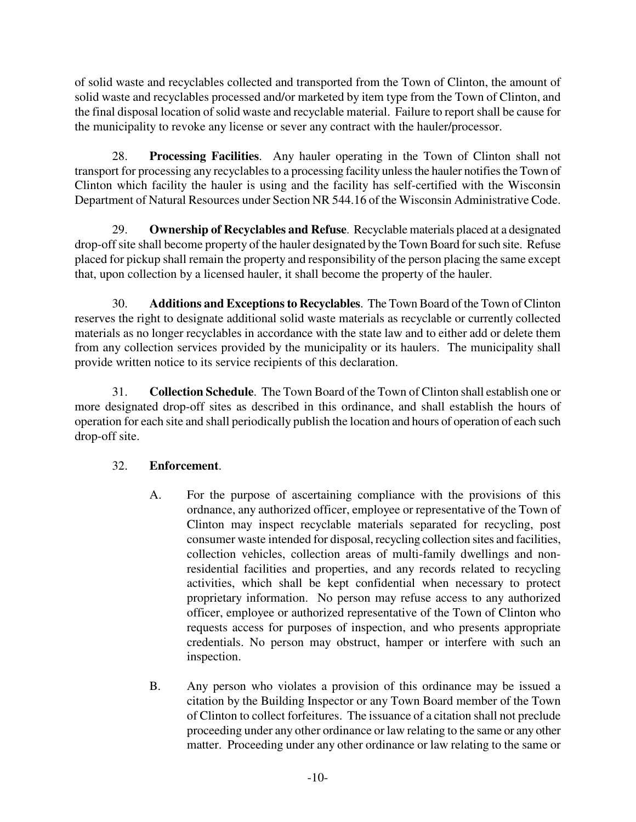of solid waste and recyclables collected and transported from the Town of Clinton, the amount of solid waste and recyclables processed and/or marketed by item type from the Town of Clinton, and the final disposal location of solid waste and recyclable material. Failure to report shall be cause for the municipality to revoke any license or sever any contract with the hauler/processor.

28. **Processing Facilities**. Any hauler operating in the Town of Clinton shall not transport for processing any recyclables to a processing facility unless the hauler notifies the Town of Clinton which facility the hauler is using and the facility has self-certified with the Wisconsin Department of Natural Resources under Section NR 544.16 of the Wisconsin Administrative Code.

29. **Ownership of Recyclables and Refuse**. Recyclable materials placed at a designated drop-off site shall become property of the hauler designated by the Town Board for such site. Refuse placed for pickup shall remain the property and responsibility of the person placing the same except that, upon collection by a licensed hauler, it shall become the property of the hauler.

30. **Additions and Exceptions to Recyclables**. The Town Board of the Town of Clinton reserves the right to designate additional solid waste materials as recyclable or currently collected materials as no longer recyclables in accordance with the state law and to either add or delete them from any collection services provided by the municipality or its haulers. The municipality shall provide written notice to its service recipients of this declaration.

31. **Collection Schedule**. The Town Board of the Town of Clinton shall establish one or more designated drop-off sites as described in this ordinance, and shall establish the hours of operation for each site and shall periodically publish the location and hours of operation of each such drop-off site.

# 32. **Enforcement**.

- A. For the purpose of ascertaining compliance with the provisions of this ordnance, any authorized officer, employee or representative of the Town of Clinton may inspect recyclable materials separated for recycling, post consumer waste intended for disposal, recycling collection sites and facilities, collection vehicles, collection areas of multi-family dwellings and nonresidential facilities and properties, and any records related to recycling activities, which shall be kept confidential when necessary to protect proprietary information. No person may refuse access to any authorized officer, employee or authorized representative of the Town of Clinton who requests access for purposes of inspection, and who presents appropriate credentials. No person may obstruct, hamper or interfere with such an inspection.
- B. Any person who violates a provision of this ordinance may be issued a citation by the Building Inspector or any Town Board member of the Town of Clinton to collect forfeitures. The issuance of a citation shall not preclude proceeding under any other ordinance or law relating to the same or any other matter. Proceeding under any other ordinance or law relating to the same or